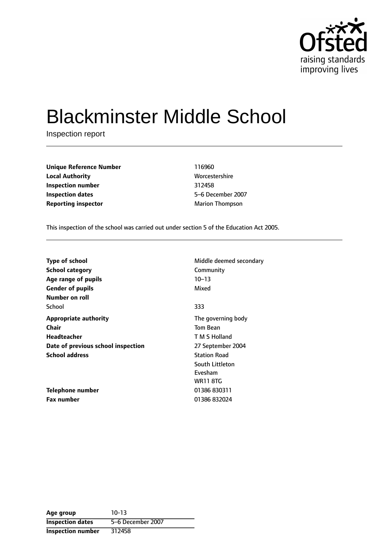

# Blackminster Middle School

Inspection report

| <b>Unique Reference Number</b> | 116960                 |
|--------------------------------|------------------------|
| <b>Local Authority</b>         | Worcestershire         |
| Inspection number              | 312458                 |
| <b>Inspection dates</b>        | 5-6 December 200       |
| <b>Reporting inspector</b>     | <b>Marion Thompson</b> |

**Worcestershire Inspection dates** 56 December 2007

This inspection of the school was carried out under section 5 of the Education Act 2005.

| <b>Type of school</b>              | Middle deemed secondary |
|------------------------------------|-------------------------|
| <b>School category</b>             | Community               |
| Age range of pupils                | $10 - 13$               |
| <b>Gender of pupils</b>            | Mixed                   |
| Number on roll                     |                         |
| School                             | 333                     |
| <b>Appropriate authority</b>       | The governing body      |
| Chair                              | <b>Tom Bean</b>         |
| Headteacher                        | T M S Holland           |
| Date of previous school inspection | 27 September 2004       |
| <b>School address</b>              | <b>Station Road</b>     |
|                                    | South Littleton         |
|                                    | Evesham                 |
|                                    | <b>WR11 8TG</b>         |
| Telephone number                   | 01386 830311            |
| <b>Fax number</b>                  | 01386832024             |

**Age group** 10-13 **Inspection dates** 5-6 December 2007 **Inspection number** 312458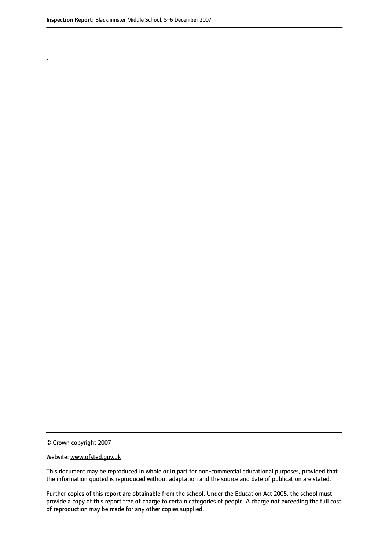.

© Crown copyright 2007

#### Website: www.ofsted.gov.uk

This document may be reproduced in whole or in part for non-commercial educational purposes, provided that the information quoted is reproduced without adaptation and the source and date of publication are stated.

Further copies of this report are obtainable from the school. Under the Education Act 2005, the school must provide a copy of this report free of charge to certain categories of people. A charge not exceeding the full cost of reproduction may be made for any other copies supplied.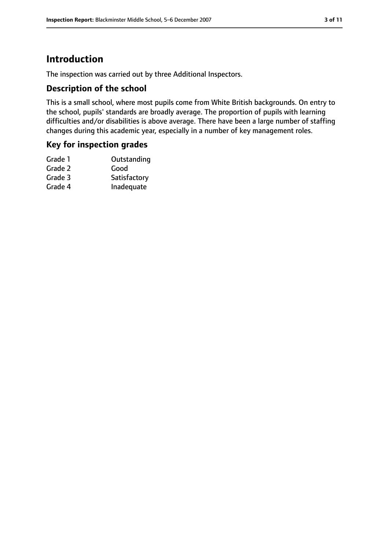# **Introduction**

The inspection was carried out by three Additional Inspectors.

### **Description of the school**

This is a small school, where most pupils come from White British backgrounds. On entry to the school, pupils' standards are broadly average. The proportion of pupils with learning difficulties and/or disabilities is above average. There have been a large number of staffing changes during this academic year, especially in a number of key management roles.

### **Key for inspection grades**

| Grade 1 | Outstanding  |
|---------|--------------|
| Grade 2 | Good         |
| Grade 3 | Satisfactory |
| Grade 4 | Inadequate   |
|         |              |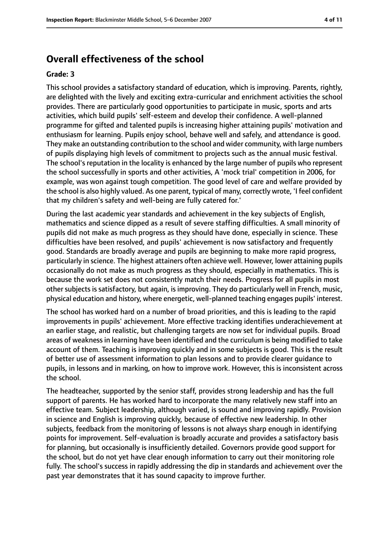# **Overall effectiveness of the school**

#### **Grade: 3**

This school provides a satisfactory standard of education, which is improving. Parents, rightly, are delighted with the lively and exciting extra-curricular and enrichment activities the school provides. There are particularly good opportunities to participate in music, sports and arts activities, which build pupils' self-esteem and develop their confidence. A well-planned programme for gifted and talented pupils is increasing higher attaining pupils' motivation and enthusiasm for learning. Pupils enjoy school, behave well and safely, and attendance is good. They make an outstanding contribution to the school and wider community, with large numbers of pupils displaying high levels of commitment to projects such as the annual music festival. The school's reputation in the locality is enhanced by the large number of pupils who represent the school successfully in sports and other activities, A 'mock trial' competition in 2006, for example, was won against tough competition. The good level of care and welfare provided by the school is also highly valued. As one parent, typical of many, correctly wrote, 'I feel confident that my children's safety and well-being are fully catered for.'

During the last academic year standards and achievement in the key subjects of English, mathematics and science dipped as a result of severe staffing difficulties. A small minority of pupils did not make as much progress as they should have done, especially in science. These difficulties have been resolved, and pupils' achievement is now satisfactory and frequently good. Standards are broadly average and pupils are beginning to make more rapid progress, particularly in science. The highest attainers often achieve well. However, lower attaining pupils occasionally do not make as much progress as they should, especially in mathematics. This is because the work set does not consistently match their needs. Progress for all pupils in most other subjects is satisfactory, but again, is improving. They do particularly well in French, music, physical education and history, where energetic, well-planned teaching engages pupils' interest.

The school has worked hard on a number of broad priorities, and this is leading to the rapid improvements in pupils' achievement. More effective tracking identifies underachievement at an earlier stage, and realistic, but challenging targets are now set for individual pupils. Broad areas of weakness in learning have been identified and the curriculum is being modified to take account of them. Teaching is improving quickly and in some subjects is good. This is the result of better use of assessment information to plan lessons and to provide clearer guidance to pupils, in lessons and in marking, on how to improve work. However, this is inconsistent across the school.

The headteacher, supported by the senior staff, provides strong leadership and has the full support of parents. He has worked hard to incorporate the many relatively new staff into an effective team. Subject leadership, although varied, is sound and improving rapidly. Provision in science and English is improving quickly, because of effective new leadership. In other subjects, feedback from the monitoring of lessons is not always sharp enough in identifying points for improvement. Self-evaluation is broadly accurate and provides a satisfactory basis for planning, but occasionally is insufficiently detailed. Governors provide good support for the school, but do not yet have clear enough information to carry out their monitoring role fully. The school's success in rapidly addressing the dip in standards and achievement over the past year demonstrates that it has sound capacity to improve further.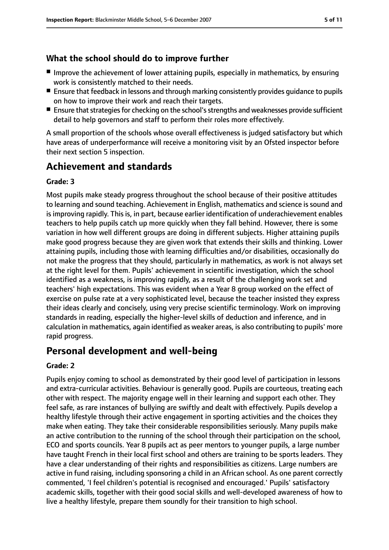# **What the school should do to improve further**

- Improve the achievement of lower attaining pupils, especially in mathematics, by ensuring work is consistently matched to their needs.
- Ensure that feedback in lessons and through marking consistently provides guidance to pupils on how to improve their work and reach their targets.
- Ensure that strategies for checking on the school's strengths and weaknesses provide sufficient detail to help governors and staff to perform their roles more effectively.

A small proportion of the schools whose overall effectiveness is judged satisfactory but which have areas of underperformance will receive a monitoring visit by an Ofsted inspector before their next section 5 inspection.

# **Achievement and standards**

## **Grade: 3**

Most pupils make steady progress throughout the school because of their positive attitudes to learning and sound teaching. Achievement in English, mathematics and science is sound and is improving rapidly. This is, in part, because earlier identification of underachievement enables teachers to help pupils catch up more quickly when they fall behind. However, there is some variation in how well different groups are doing in different subjects. Higher attaining pupils make good progress because they are given work that extends their skills and thinking. Lower attaining pupils, including those with learning difficulties and/or disabilities, occasionally do not make the progress that they should, particularly in mathematics, as work is not always set at the right level for them. Pupils' achievement in scientific investigation, which the school identified as a weakness, is improving rapidly, as a result of the challenging work set and teachers' high expectations. This was evident when a Year 8 group worked on the effect of exercise on pulse rate at a very sophisticated level, because the teacher insisted they express their ideas clearly and concisely, using very precise scientific terminology. Work on improving standards in reading, especially the higher-level skills of deduction and inference, and in calculation in mathematics, again identified as weaker areas, is also contributing to pupils' more rapid progress.

# **Personal development and well-being**

### **Grade: 2**

Pupils enjoy coming to school as demonstrated by their good level of participation in lessons and extra-curricular activities. Behaviour is generally good. Pupils are courteous, treating each other with respect. The majority engage well in their learning and support each other. They feel safe, as rare instances of bullying are swiftly and dealt with effectively. Pupils develop a healthy lifestyle through their active engagement in sporting activities and the choices they make when eating. They take their considerable responsibilities seriously. Many pupils make an active contribution to the running of the school through their participation on the school, ECO and sports councils. Year 8 pupils act as peer mentors to younger pupils, a large number have taught French in their local first school and others are training to be sports leaders. They have a clear understanding of their rights and responsibilities as citizens. Large numbers are active in fund raising, including sponsoring a child in an African school. As one parent correctly commented, 'I feel children's potential is recognised and encouraged.' Pupils' satisfactory academic skills, together with their good social skills and well-developed awareness of how to live a healthy lifestyle, prepare them soundly for their transition to high school.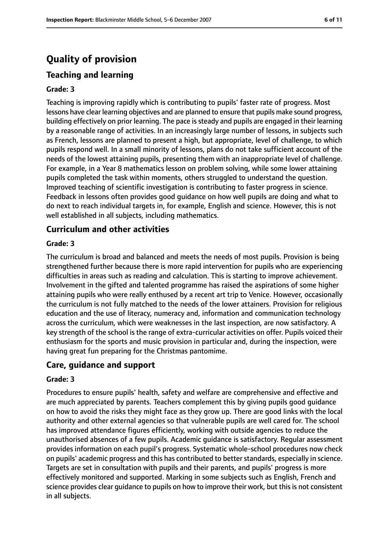# **Quality of provision**

### **Teaching and learning**

#### **Grade: 3**

Teaching is improving rapidly which is contributing to pupils' faster rate of progress. Most lessons have clear learning objectives and are planned to ensure that pupils make sound progress, building effectively on prior learning. The pace is steady and pupils are engaged in their learning by a reasonable range of activities. In an increasingly large number of lessons, in subjects such as French, lessons are planned to present a high, but appropriate, level of challenge, to which pupils respond well. In a small minority of lessons, plans do not take sufficient account of the needs of the lowest attaining pupils, presenting them with an inappropriate level of challenge. For example, in a Year 8 mathematics lesson on problem solving, while some lower attaining pupils completed the task within moments, others struggled to understand the question. Improved teaching of scientific investigation is contributing to faster progress in science. Feedback in lessons often provides good guidance on how well pupils are doing and what to do next to reach individual targets in, for example, English and science. However, this is not well established in all subjects, including mathematics.

#### **Curriculum and other activities**

#### **Grade: 3**

The curriculum is broad and balanced and meets the needs of most pupils. Provision is being strengthened further because there is more rapid intervention for pupils who are experiencing difficulties in areas such as reading and calculation. This is starting to improve achievement. Involvement in the gifted and talented programme has raised the aspirations of some higher attaining pupils who were really enthused by a recent art trip to Venice. However, occasionally the curriculum is not fully matched to the needs of the lower attainers. Provision for religious education and the use of literacy, numeracy and, information and communication technology across the curriculum, which were weaknesses in the last inspection, are now satisfactory. A key strength of the school is the range of extra-curricular activities on offer. Pupils voiced their enthusiasm for the sports and music provision in particular and, during the inspection, were having great fun preparing for the Christmas pantomime.

#### **Care, guidance and support**

#### **Grade: 3**

Procedures to ensure pupils' health, safety and welfare are comprehensive and effective and are much appreciated by parents. Teachers complement this by giving pupils good guidance on how to avoid the risks they might face as they grow up. There are good links with the local authority and other external agencies so that vulnerable pupils are well cared for. The school has improved attendance figures efficiently, working with outside agencies to reduce the unauthorised absences of a few pupils. Academic guidance is satisfactory. Regular assessment provides information on each pupil's progress. Systematic whole-school procedures now check on pupils' academic progress and this has contributed to better standards, especially in science. Targets are set in consultation with pupils and their parents, and pupils' progress is more effectively monitored and supported. Marking in some subjects such as English, French and science provides clear quidance to pupils on how to improve their work, but this is not consistent in all subjects.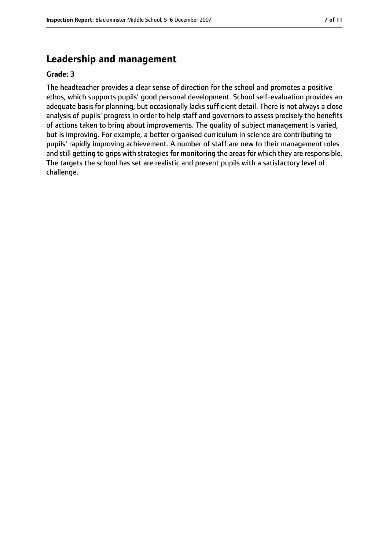# **Leadership and management**

#### **Grade: 3**

The headteacher provides a clear sense of direction for the school and promotes a positive ethos, which supports pupils' good personal development. School self-evaluation provides an adequate basis for planning, but occasionally lacks sufficient detail. There is not always a close analysis of pupils' progress in order to help staff and governors to assess precisely the benefits of actions taken to bring about improvements. The quality of subject management is varied, but is improving. For example, a better organised curriculum in science are contributing to pupils' rapidly improving achievement. A number of staff are new to their management roles and still getting to grips with strategies for monitoring the areas for which they are responsible. The targets the school has set are realistic and present pupils with a satisfactory level of challenge.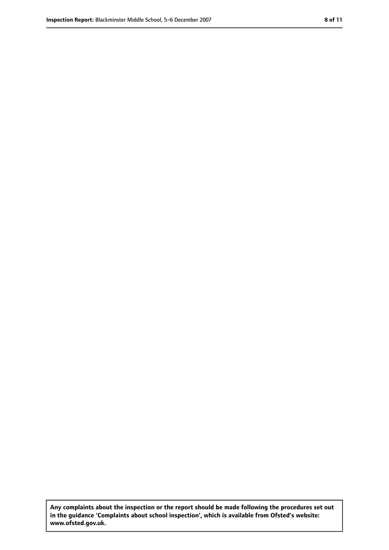**Any complaints about the inspection or the report should be made following the procedures set out in the guidance 'Complaints about school inspection', which is available from Ofsted's website: www.ofsted.gov.uk.**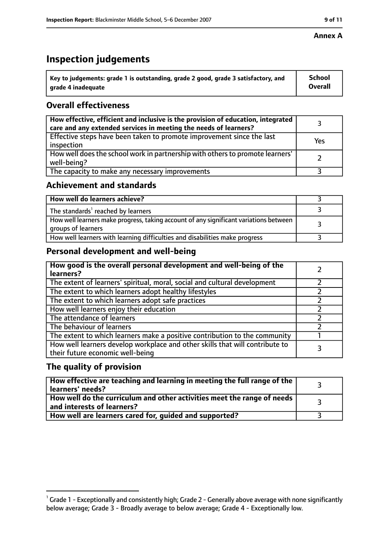# **Inspection judgements**

| $^{\backprime}$ Key to judgements: grade 1 is outstanding, grade 2 good, grade 3 satisfactory, and | <b>School</b>  |
|----------------------------------------------------------------------------------------------------|----------------|
| arade 4 inadeguate                                                                                 | <b>Overall</b> |

# **Overall effectiveness**

| How effective, efficient and inclusive is the provision of education, integrated<br>care and any extended services in meeting the needs of learners? |     |
|------------------------------------------------------------------------------------------------------------------------------------------------------|-----|
| Effective steps have been taken to promote improvement since the last<br>inspection                                                                  | Yes |
| How well does the school work in partnership with others to promote learners'<br>well-being?                                                         |     |
| The capacity to make any necessary improvements                                                                                                      |     |

# **Achievement and standards**

| How well do learners achieve?                                                                               |  |
|-------------------------------------------------------------------------------------------------------------|--|
| The standards <sup>1</sup> reached by learners                                                              |  |
| How well learners make progress, taking account of any significant variations between<br>groups of learners |  |
| How well learners with learning difficulties and disabilities make progress                                 |  |

# **Personal development and well-being**

| How good is the overall personal development and well-being of the<br>learners?                                  |  |
|------------------------------------------------------------------------------------------------------------------|--|
| The extent of learners' spiritual, moral, social and cultural development                                        |  |
| The extent to which learners adopt healthy lifestyles                                                            |  |
| The extent to which learners adopt safe practices                                                                |  |
| How well learners enjoy their education                                                                          |  |
| The attendance of learners                                                                                       |  |
| The behaviour of learners                                                                                        |  |
| The extent to which learners make a positive contribution to the community                                       |  |
| How well learners develop workplace and other skills that will contribute to<br>their future economic well-being |  |

# **The quality of provision**

| $\mid$ How effective are teaching and learning in meeting the full range of the $\mid$<br>learners' needs? |  |
|------------------------------------------------------------------------------------------------------------|--|
| How well do the curriculum and other activities meet the range of needs  <br>and interests of learners?    |  |
| How well are learners cared for, guided and supported?                                                     |  |

### **Annex A**

 $^1$  Grade 1 - Exceptionally and consistently high; Grade 2 - Generally above average with none significantly below average; Grade 3 - Broadly average to below average; Grade 4 - Exceptionally low.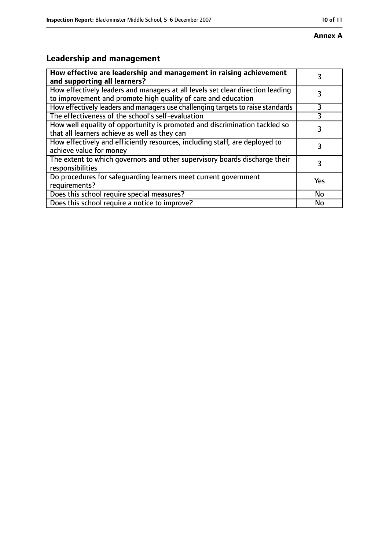# **Leadership and management**

| How effective are leadership and management in raising achievement<br>and supporting all learners?                                              | 3   |
|-------------------------------------------------------------------------------------------------------------------------------------------------|-----|
| How effectively leaders and managers at all levels set clear direction leading<br>to improvement and promote high quality of care and education |     |
| How effectively leaders and managers use challenging targets to raise standards                                                                 | 3   |
| The effectiveness of the school's self-evaluation                                                                                               |     |
| How well equality of opportunity is promoted and discrimination tackled so<br>that all learners achieve as well as they can                     | 3   |
| How effectively and efficiently resources, including staff, are deployed to<br>achieve value for money                                          | 3   |
| The extent to which governors and other supervisory boards discharge their<br>responsibilities                                                  | 3   |
| Do procedures for safequarding learners meet current government<br>requirements?                                                                | Yes |
| Does this school require special measures?                                                                                                      | No  |
| Does this school require a notice to improve?                                                                                                   | No  |